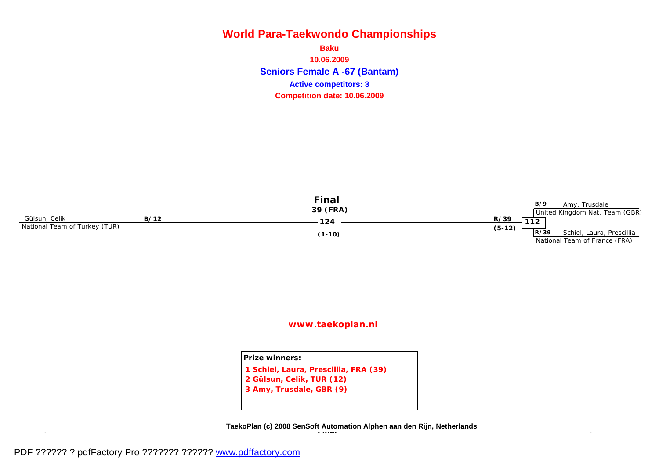**Seniors Female A -67 (Bantam) Baku 10.06.2009 Competition date: 10.06.2009 Active competitors: 3**



### **[www.taekoplan.nl](http://www.taekoplan.nl)**

**Prize winners: 1 Schiel, Laura, Prescillia, FRA (39) 2 Gülsun, Celik, TUR (12) 3 Amy, Trusdale, GBR (9)**

**SF SF TaekoPlan (c) 2008 SenSoft Automation Alphen aan den Rijn, Netherlands Final**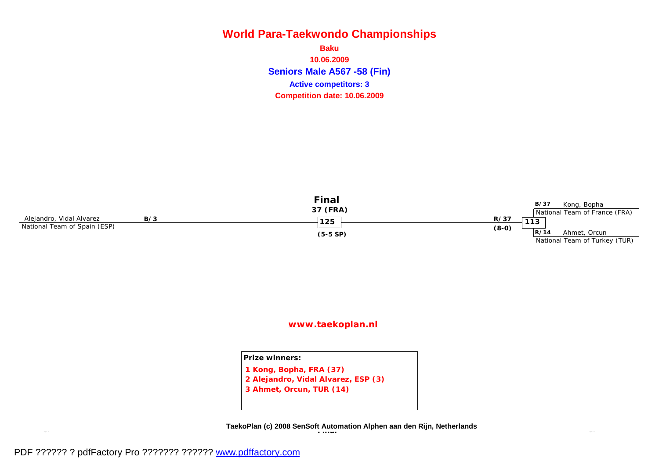**Seniors Male A567 -58 (Fin) Baku 10.06.2009 Competition date: 10.06.2009 Active competitors: 3**



### **[www.taekoplan.nl](http://www.taekoplan.nl)**

#### **Prize winners:**

**1 Kong, Bopha, FRA (37)**

**2 Alejandro, Vidal Alvarez, ESP (3)**

**3 Ahmet, Orcun, TUR (14)**

**SF SF TaekoPlan (c) 2008 SenSoft Automation Alphen aan den Rijn, Netherlands Final**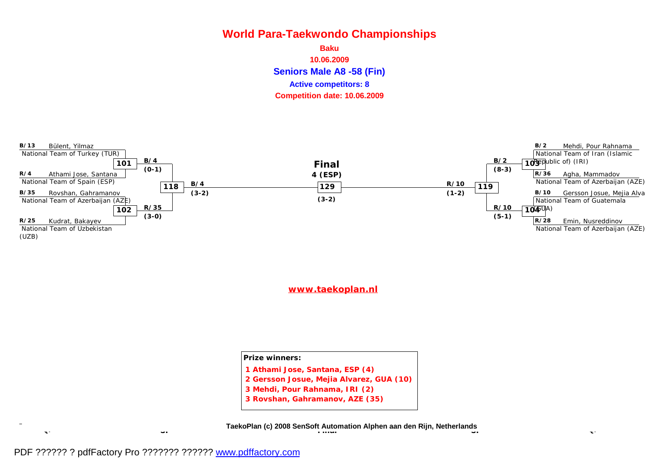**Seniors Male A8 -58 (Fin) Baku 10.06.2009 Competition date: 10.06.2009 Active competitors: 8**



**[www.taekoplan.nl](http://www.taekoplan.nl)**

**Prize winners:**

- **1 Athami Jose, Santana, ESP (4)**
- **2 Gersson Josue, Mejia Alvarez, GUA (10)**
- **3 Mehdi, Pour Rahnama, IRI (2)**
- **3 Rovshan, Gahramanov, AZE (35)**

**QF QF SF SF TaekoPlan (c) 2008 SenSoft Automation Alphen aan den Rijn, Netherlands Final**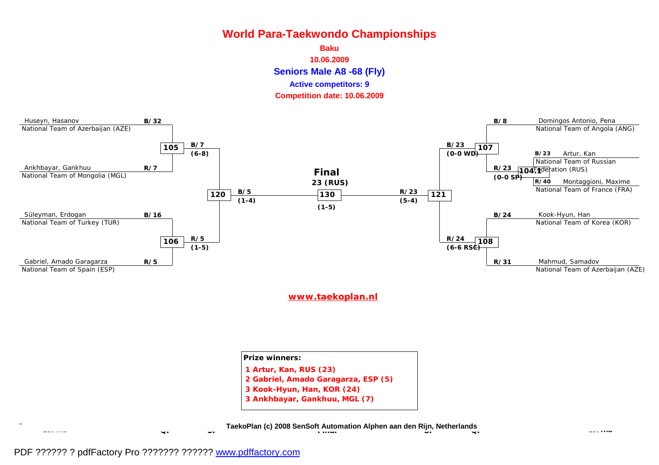



#### **[www.taekoplan.nl](http://www.taekoplan.nl)**

| <b>Prize winners:</b>               |  |
|-------------------------------------|--|
| 1 Artur, Kan, RUS (23)              |  |
| 2 Gabriel, Amado Garagarza, ESP (5) |  |
| 3 Kook-Hyun, Han, KOR (24)          |  |
| 3 Ankhbayar, Gankhuu, MGL (7)       |  |

**1ster 1st and 1st and 1st and 1st and 1st and 1st and 1st and 1st and 1st and 1st and 1st and 1st and 1st and 1st and 1st and 1st and 1st and 1st and 1st and 1st and 1st and 1st and 1st and 1st and 1st and 1st and 1st and Final**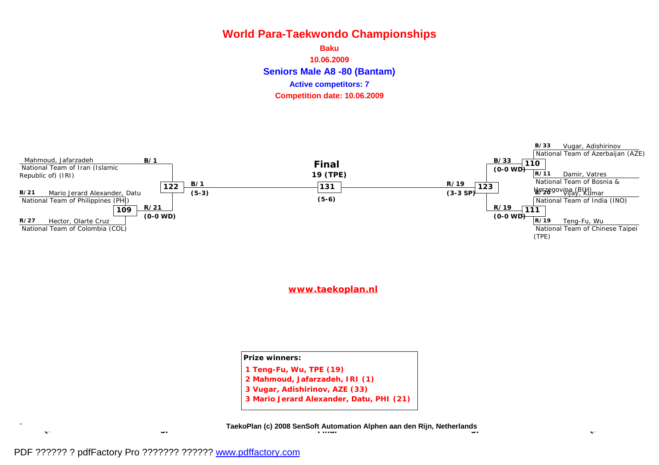**Seniors Male A8 -80 (Bantam) Baku 10.06.2009 Competition date: 10.06.2009 Active competitors: 7**



**[www.taekoplan.nl](http://www.taekoplan.nl)**

**Prize winners: 1 Teng-Fu, Wu, TPE (19) 2 Mahmoud, Jafarzadeh, IRI (1) 3 Vugar, Adishirinov, AZE (33)**

**3 Mario Jerard Alexander, Datu, PHI (21)**

**QF QF SF SF TaekoPlan (c) 2008 SenSoft Automation Alphen aan den Rijn, Netherlands Final**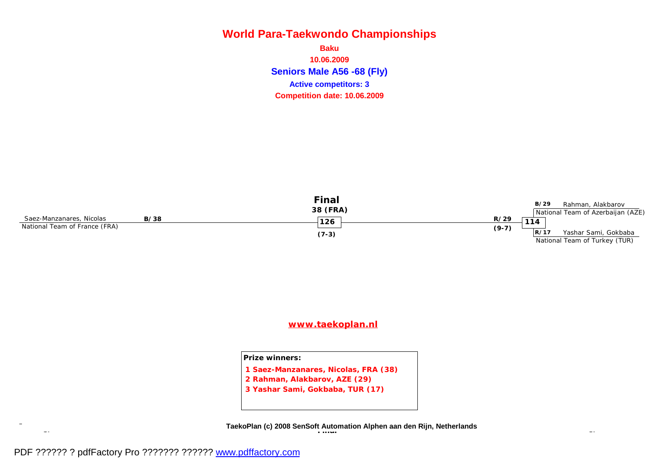**Seniors Male A56 -68 (Fly) Baku 10.06.2009 Competition date: 10.06.2009 Active competitors: 3**



### **[www.taekoplan.nl](http://www.taekoplan.nl)**

#### **Prize winners:**

- **1 Saez-Manzanares, Nicolas, FRA (38)**
- **2 Rahman, Alakbarov, AZE (29)**
- **3 Yashar Sami, Gokbaba, TUR (17)**

**SF SF TaekoPlan (c) 2008 SenSoft Automation Alphen aan den Rijn, Netherlands Final**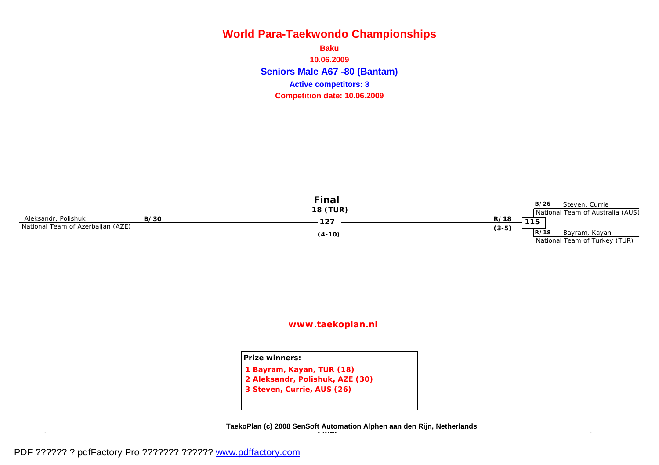**Seniors Male A67 -80 (Bantam) Baku 10.06.2009 Competition date: 10.06.2009 Active competitors: 3**



### **[www.taekoplan.nl](http://www.taekoplan.nl)**

#### **Prize winners:**

**1 Bayram, Kayan, TUR (18)**

**2 Aleksandr, Polishuk, AZE (30)**

**3 Steven, Currie, AUS (26)**

**SF SF TaekoPlan (c) 2008 SenSoft Automation Alphen aan den Rijn, Netherlands Final**